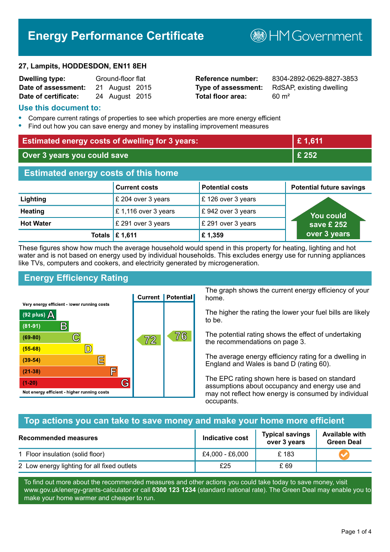# **Energy Performance Certificate**

#### **27, Lampits, HODDESDON, EN11 8EH**

| <b>Dwelling type:</b> | Ground-floor flat |                |  |
|-----------------------|-------------------|----------------|--|
| Date of assessment:   |                   | 21 August 2015 |  |
| Date of certificate:  |                   | 24 August 2015 |  |

# **Total floor area:** 60 m<sup>2</sup>

**Reference number:** 8304-2892-0629-8827-3853 **Type of assessment:** RdSAP, existing dwelling

**B**HM Government

#### **Use this document to:**

- **•** Compare current ratings of properties to see which properties are more energy efficient
- **•** Find out how you can save energy and money by installing improvement measures

| <b>Estimated energy costs of dwelling for 3 years:</b> |                           |                        | £1,611                          |
|--------------------------------------------------------|---------------------------|------------------------|---------------------------------|
| Over 3 years you could save                            |                           | £ 252                  |                                 |
| <b>Estimated energy costs of this home</b>             |                           |                        |                                 |
|                                                        | <b>Current costs</b>      | <b>Potential costs</b> | <b>Potential future savings</b> |
| Lighting                                               | £ 204 over 3 years        | £126 over 3 years      |                                 |
| <b>Heating</b>                                         | £1,116 over 3 years       | £942 over 3 years      | <u>You could</u>                |
| <b>Hot Water</b>                                       | £ 291 over 3 years        | £ 291 over 3 years     | save £ 252                      |
|                                                        | Totals $\mathsf{E}$ 1,611 | £1,359                 | over 3 years                    |

These figures show how much the average household would spend in this property for heating, lighting and hot water and is not based on energy used by individual households. This excludes energy use for running appliances like TVs, computers and cookers, and electricity generated by microgeneration.

# **Energy Efficiency Rating**



The graph shows the current energy efficiency of your home.

The higher the rating the lower your fuel bills are likely to be.

The potential rating shows the effect of undertaking the recommendations on page 3.

The average energy efficiency rating for a dwelling in England and Wales is band D (rating 60).

The EPC rating shown here is based on standard assumptions about occupancy and energy use and may not reflect how energy is consumed by individual occupants.

### **Top actions you can take to save money and make your home more efficient**

| <b>Recommended measures</b>                 | Indicative cost | <b>Typical savings</b><br>over 3 years | <b>Available with</b><br><b>Green Deal</b> |
|---------------------------------------------|-----------------|----------------------------------------|--------------------------------------------|
| 1 Floor insulation (solid floor)            | £4,000 - £6,000 | £183                                   |                                            |
| 2 Low energy lighting for all fixed outlets | £25             | £ 69                                   |                                            |

To find out more about the recommended measures and other actions you could take today to save money, visit www.gov.uk/energy-grants-calculator or call **0300 123 1234** (standard national rate). The Green Deal may enable you to make your home warmer and cheaper to run.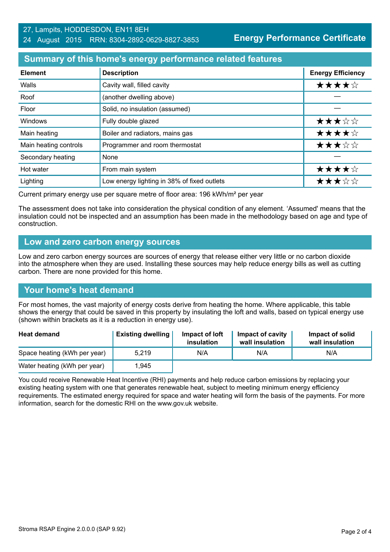#### 27, Lampits, HODDESDON, EN11 8EH 24 August 2015 RRN: 8304-2892-0629-8827-3853

**Energy Performance Certificate**

## **Summary of this home's energy performance related features**

| <b>Element</b>        | <b>Description</b>                          | <b>Energy Efficiency</b> |
|-----------------------|---------------------------------------------|--------------------------|
| Walls                 | Cavity wall, filled cavity                  | ★★★★☆                    |
| Roof                  | (another dwelling above)                    |                          |
| Floor                 | Solid, no insulation (assumed)              |                          |
| Windows               | Fully double glazed                         | ★★★☆☆                    |
| Main heating          | Boiler and radiators, mains gas             | ★★★★☆                    |
| Main heating controls | Programmer and room thermostat              | ★★★☆☆                    |
| Secondary heating     | None                                        |                          |
| Hot water             | From main system                            | ★★★★☆                    |
| Lighting              | Low energy lighting in 38% of fixed outlets | ★★★☆☆                    |

Current primary energy use per square metre of floor area: 196 kWh/m² per year

The assessment does not take into consideration the physical condition of any element. 'Assumed' means that the insulation could not be inspected and an assumption has been made in the methodology based on age and type of construction.

### **Low and zero carbon energy sources**

Low and zero carbon energy sources are sources of energy that release either very little or no carbon dioxide into the atmosphere when they are used. Installing these sources may help reduce energy bills as well as cutting carbon. There are none provided for this home.

# **Your home's heat demand**

For most homes, the vast majority of energy costs derive from heating the home. Where applicable, this table shows the energy that could be saved in this property by insulating the loft and walls, based on typical energy use (shown within brackets as it is a reduction in energy use).

| <b>Heat demand</b>           | <b>Existing dwelling</b> | Impact of loft<br>insulation | Impact of cavity<br>wall insulation | Impact of solid<br>wall insulation |
|------------------------------|--------------------------|------------------------------|-------------------------------------|------------------------------------|
| Space heating (kWh per year) | 5.219                    | N/A                          | N/A                                 | N/A                                |
| Water heating (kWh per year) | 1,945                    |                              |                                     |                                    |

You could receive Renewable Heat Incentive (RHI) payments and help reduce carbon emissions by replacing your existing heating system with one that generates renewable heat, subject to meeting minimum energy efficiency requirements. The estimated energy required for space and water heating will form the basis of the payments. For more information, search for the domestic RHI on the www.gov.uk website.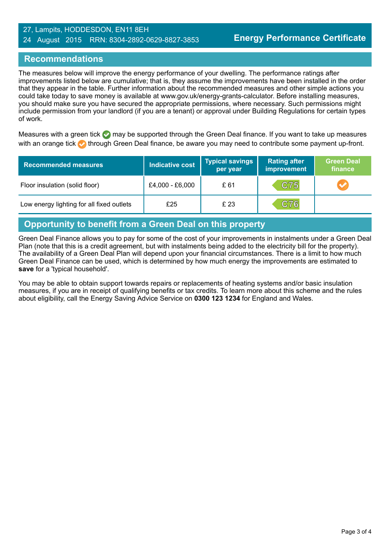#### 27, Lampits, HODDESDON, EN11 8EH 24 August 2015 RRN: 8304-2892-0629-8827-3853

# **Recommendations**

The measures below will improve the energy performance of your dwelling. The performance ratings after improvements listed below are cumulative; that is, they assume the improvements have been installed in the order that they appear in the table. Further information about the recommended measures and other simple actions you could take today to save money is available at www.gov.uk/energy-grants-calculator. Before installing measures, you should make sure you have secured the appropriate permissions, where necessary. Such permissions might include permission from your landlord (if you are a tenant) or approval under Building Regulations for certain types of work.

Measures with a green tick  $\bullet$  may be supported through the Green Deal finance. If you want to take up measures with an orange tick **th** through Green Deal finance, be aware you may need to contribute some payment up-front.

| <b>Recommended measures</b>               | <b>Indicative cost</b> | <b>Typical savings</b><br>per year | <b>Rating after</b><br>improvement | <b>Green Deal</b><br>finance |
|-------------------------------------------|------------------------|------------------------------------|------------------------------------|------------------------------|
| Floor insulation (solid floor)            | £4,000 - £6,000        | £ 61                               | C75                                |                              |
| Low energy lighting for all fixed outlets | £25                    | £ 23                               | C76                                |                              |

# **Opportunity to benefit from a Green Deal on this property**

Green Deal Finance allows you to pay for some of the cost of your improvements in instalments under a Green Deal Plan (note that this is a credit agreement, but with instalments being added to the electricity bill for the property). The availability of a Green Deal Plan will depend upon your financial circumstances. There is a limit to how much Green Deal Finance can be used, which is determined by how much energy the improvements are estimated to **save** for a 'typical household'.

You may be able to obtain support towards repairs or replacements of heating systems and/or basic insulation measures, if you are in receipt of qualifying benefits or tax credits. To learn more about this scheme and the rules about eligibility, call the Energy Saving Advice Service on **0300 123 1234** for England and Wales.